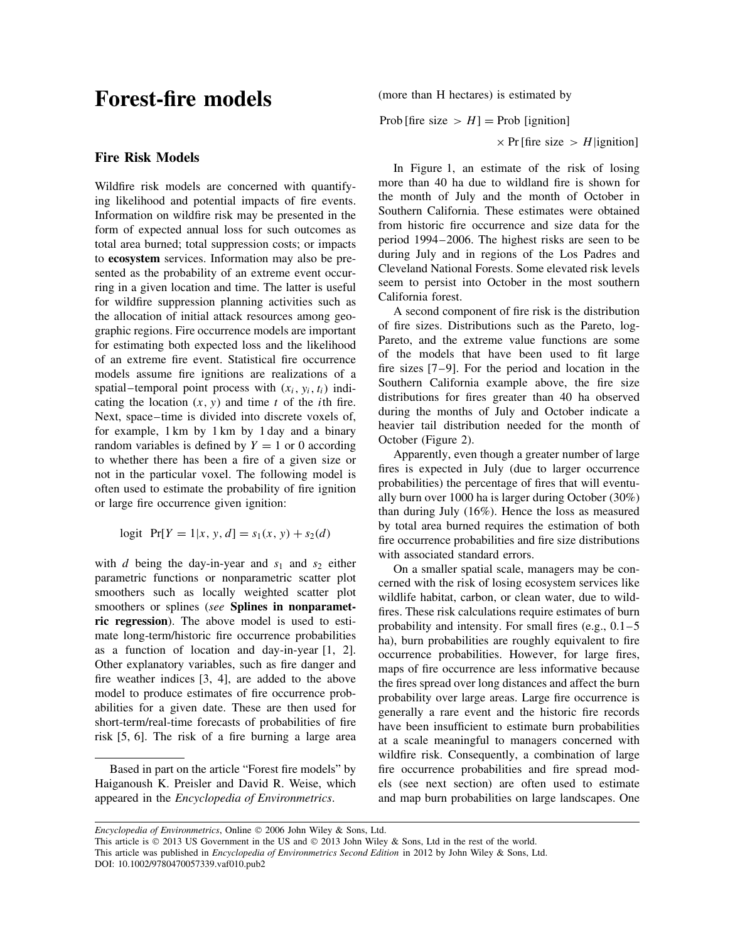# **Forest-fire models**

### **Fire Risk Models**

Wildfire risk models are concerned with quantifying likelihood and potential impacts of fire events. Information on wildfire risk may be presented in the form of expected annual loss for such outcomes as total area burned; total suppression costs; or impacts to **ecosystem** services. Information may also be presented as the probability of an extreme event occurring in a given location and time. The latter is useful for wildfire suppression planning activities such as the allocation of initial attack resources among geographic regions. Fire occurrence models are important for estimating both expected loss and the likelihood of an extreme fire event. Statistical fire occurrence models assume fire ignitions are realizations of a spatial–temporal point process with  $(x_i, y_i, t_i)$  indicating the location (*x, y*) and time *t* of the *i*th fire. Next, space–time is divided into discrete voxels of, for example, 1 km by 1 km by 1 day and a binary random variables is defined by  $Y = 1$  or 0 according to whether there has been a fire of a given size or not in the particular voxel. The following model is often used to estimate the probability of fire ignition or large fire occurrence given ignition:

$$
logit \ \ Pr[Y = 1 | x, y, d] = s_1(x, y) + s_2(d)
$$

with *d* being the day-in-year and  $s_1$  and  $s_2$  either parametric functions or nonparametric scatter plot smoothers such as locally weighted scatter plot smoothers or splines (*see* **Splines in nonparametric regression**). The above model is used to estimate long-term/historic fire occurrence probabilities as a function of location and day-in-year [1, 2]. Other explanatory variables, such as fire danger and fire weather indices [3, 4], are added to the above model to produce estimates of fire occurrence probabilities for a given date. These are then used for short-term/real-time forecasts of probabilities of fire risk [5, 6]. The risk of a fire burning a large area

Based in part on the article "Forest fire models" by Haiganoush K. Preisler and David R. Weise, which appeared in the *Encyclopedia of Environmetrics*.

(more than H hectares) is estimated by

Prob [fire size  $> H$ ] = Prob [ignition]

 $\times$  Pr [fire size  $>$  *H* |ignition]

In Figure 1, an estimate of the risk of losing more than 40 ha due to wildland fire is shown for the month of July and the month of October in Southern California. These estimates were obtained from historic fire occurrence and size data for the period 1994–2006. The highest risks are seen to be during July and in regions of the Los Padres and Cleveland National Forests. Some elevated risk levels seem to persist into October in the most southern California forest.

A second component of fire risk is the distribution of fire sizes. Distributions such as the Pareto, log-Pareto, and the extreme value functions are some of the models that have been used to fit large fire sizes [7–9]. For the period and location in the Southern California example above, the fire size distributions for fires greater than 40 ha observed during the months of July and October indicate a heavier tail distribution needed for the month of October (Figure 2).

Apparently, even though a greater number of large fires is expected in July (due to larger occurrence probabilities) the percentage of fires that will eventually burn over 1000 ha is larger during October (30%) than during July (16%). Hence the loss as measured by total area burned requires the estimation of both fire occurrence probabilities and fire size distributions with associated standard errors.

On a smaller spatial scale, managers may be concerned with the risk of losing ecosystem services like wildlife habitat, carbon, or clean water, due to wildfires. These risk calculations require estimates of burn probability and intensity. For small fires (e.g.,  $0.1-5$ ) ha), burn probabilities are roughly equivalent to fire occurrence probabilities. However, for large fires, maps of fire occurrence are less informative because the fires spread over long distances and affect the burn probability over large areas. Large fire occurrence is generally a rare event and the historic fire records have been insufficient to estimate burn probabilities at a scale meaningful to managers concerned with wildfire risk. Consequently, a combination of large fire occurrence probabilities and fire spread models (see next section) are often used to estimate and map burn probabilities on large landscapes. One

*Encyclopedia of Environmetrics*, Online © 2006 John Wiley & Sons, Ltd.

This article is © 2013 US Government in the US and © 2013 John Wiley & Sons, Ltd in the rest of the world. This article was published in *Encyclopedia of Environmetrics Second Edition* in 2012 by John Wiley & Sons, Ltd. DOI: 10.1002/9780470057339.vaf010.pub2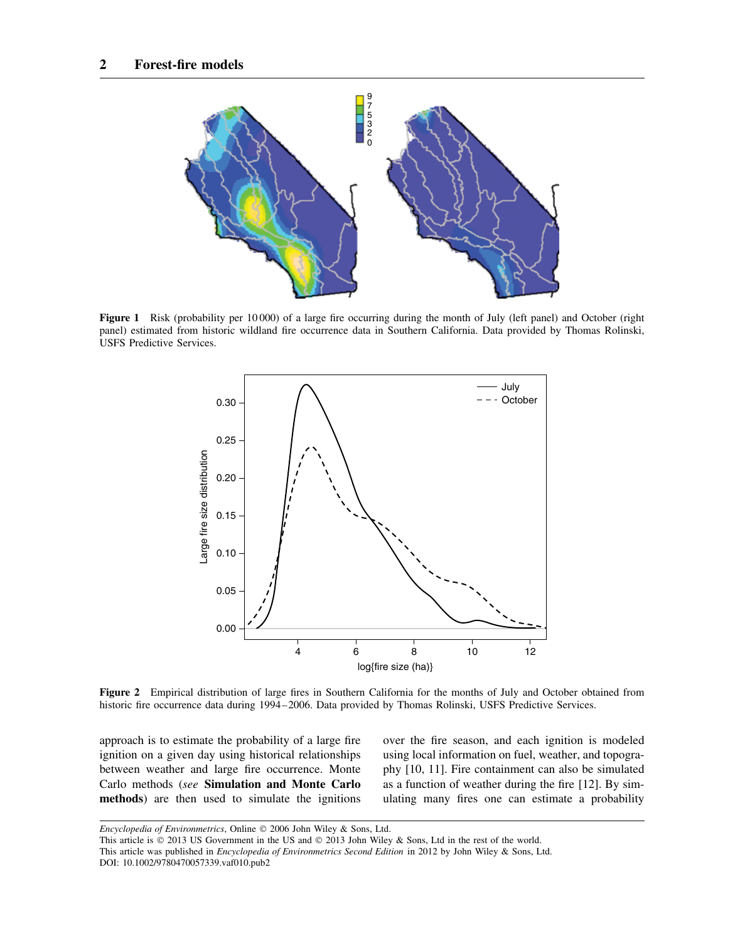

**Figure 1** Risk (probability per 10 000) of a large fire occurring during the month of July (left panel) and October (right panel) estimated from historic wildland fire occurrence data in Southern California. Data provided by Thomas Rolinski, USFS Predictive Services.



**Figure 2** Empirical distribution of large fires in Southern California for the months of July and October obtained from historic fire occurrence data during 1994–2006. Data provided by Thomas Rolinski, USFS Predictive Services.

approach is to estimate the probability of a large fire ignition on a given day using historical relationships between weather and large fire occurrence. Monte Carlo methods (*see* **Simulation and Monte Carlo methods**) are then used to simulate the ignitions over the fire season, and each ignition is modeled using local information on fuel, weather, and topography [10, 11]. Fire containment can also be simulated as a function of weather during the fire [12]. By simulating many fires one can estimate a probability

*Encyclopedia of Environmetrics*, Online © 2006 John Wiley & Sons, Ltd.

This article is © 2013 US Government in the US and © 2013 John Wiley & Sons, Ltd in the rest of the world.

This article was published in *Encyclopedia of Environmetrics Second Edition* in 2012 by John Wiley & Sons, Ltd. DOI: 10.1002/9780470057339.vaf010.pub2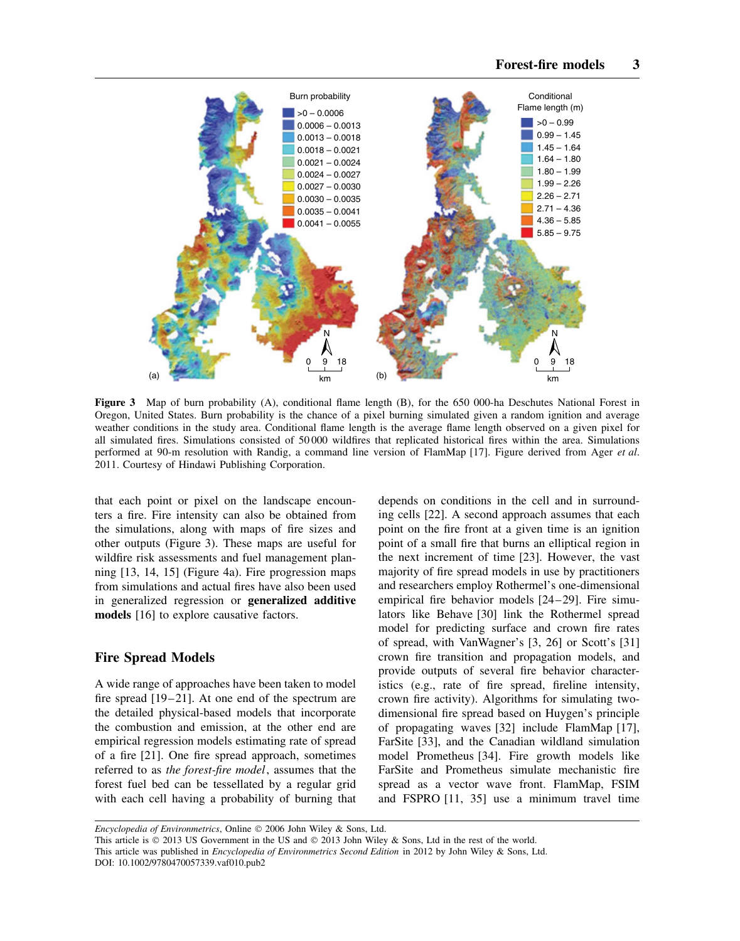

**Figure 3** Map of burn probability (A), conditional flame length (B), for the 650 000-ha Deschutes National Forest in Oregon, United States. Burn probability is the chance of a pixel burning simulated given a random ignition and average weather conditions in the study area. Conditional flame length is the average flame length observed on a given pixel for all simulated fires. Simulations consisted of 50 000 wildfires that replicated historical fires within the area. Simulations performed at 90-m resolution with Randig, a command line version of FlamMap [17]. Figure derived from Ager *et al*. 2011. Courtesy of Hindawi Publishing Corporation.

that each point or pixel on the landscape encounters a fire. Fire intensity can also be obtained from the simulations, along with maps of fire sizes and other outputs (Figure 3). These maps are useful for wildfire risk assessments and fuel management planning [13, 14, 15] (Figure 4a). Fire progression maps from simulations and actual fires have also been used in generalized regression or **generalized additive models** [16] to explore causative factors.

## **Fire Spread Models**

A wide range of approaches have been taken to model fire spread [19–21]. At one end of the spectrum are the detailed physical-based models that incorporate the combustion and emission, at the other end are empirical regression models estimating rate of spread of a fire [21]. One fire spread approach, sometimes referred to as *the forest-fire model*, assumes that the forest fuel bed can be tessellated by a regular grid with each cell having a probability of burning that

depends on conditions in the cell and in surrounding cells [22]. A second approach assumes that each point on the fire front at a given time is an ignition point of a small fire that burns an elliptical region in the next increment of time [23]. However, the vast majority of fire spread models in use by practitioners and researchers employ Rothermel's one-dimensional empirical fire behavior models [24–29]. Fire simulators like Behave [30] link the Rothermel spread model for predicting surface and crown fire rates of spread, with VanWagner's [3, 26] or Scott's [31] crown fire transition and propagation models, and provide outputs of several fire behavior characteristics (e.g., rate of fire spread, fireline intensity, crown fire activity). Algorithms for simulating twodimensional fire spread based on Huygen's principle of propagating waves [32] include FlamMap [17], FarSite [33], and the Canadian wildland simulation model Prometheus [34]. Fire growth models like FarSite and Prometheus simulate mechanistic fire spread as a vector wave front. FlamMap, FSIM and FSPRO [11, 35] use a minimum travel time

*Encyclopedia of Environmetrics*, Online © 2006 John Wiley & Sons, Ltd.

This article is  $\odot$  2013 US Government in the US and  $\odot$  2013 John Wiley & Sons, Ltd in the rest of the world. This article was published in *Encyclopedia of Environmetrics Second Edition* in 2012 by John Wiley & Sons, Ltd. DOI: 10.1002/9780470057339.vaf010.pub2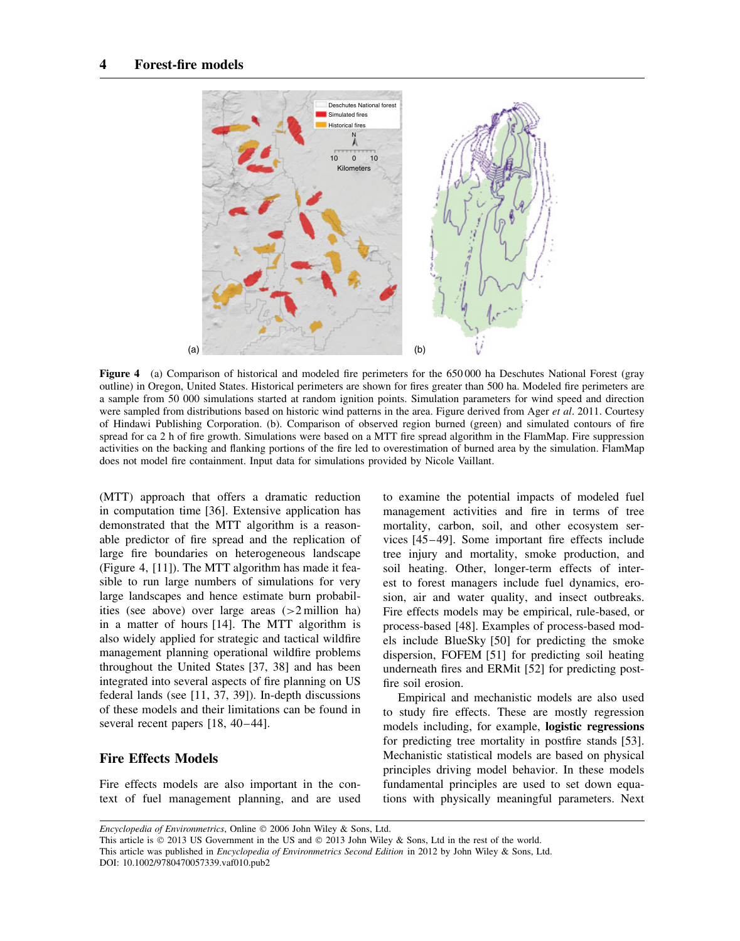

**Figure 4** (a) Comparison of historical and modeled fire perimeters for the 650 000 ha Deschutes National Forest (gray outline) in Oregon, United States. Historical perimeters are shown for fires greater than 500 ha. Modeled fire perimeters are a sample from 50 000 simulations started at random ignition points. Simulation parameters for wind speed and direction were sampled from distributions based on historic wind patterns in the area. Figure derived from Ager *et al*. 2011. Courtesy of Hindawi Publishing Corporation. (b). Comparison of observed region burned (green) and simulated contours of fire spread for ca 2 h of fire growth. Simulations were based on a MTT fire spread algorithm in the FlamMap. Fire suppression activities on the backing and flanking portions of the fire led to overestimation of burned area by the simulation. FlamMap does not model fire containment. Input data for simulations provided by Nicole Vaillant.

(MTT) approach that offers a dramatic reduction in computation time [36]. Extensive application has demonstrated that the MTT algorithm is a reasonable predictor of fire spread and the replication of large fire boundaries on heterogeneous landscape (Figure 4, [11]). The MTT algorithm has made it feasible to run large numbers of simulations for very large landscapes and hence estimate burn probabilities (see above) over large areas (*>*2 million ha) in a matter of hours [14]. The MTT algorithm is also widely applied for strategic and tactical wildfire management planning operational wildfire problems throughout the United States [37, 38] and has been integrated into several aspects of fire planning on US federal lands (see [11, 37, 39]). In-depth discussions of these models and their limitations can be found in several recent papers [18, 40–44].

# **Fire Effects Models**

Fire effects models are also important in the context of fuel management planning, and are used to examine the potential impacts of modeled fuel management activities and fire in terms of tree mortality, carbon, soil, and other ecosystem services [45–49]. Some important fire effects include tree injury and mortality, smoke production, and soil heating. Other, longer-term effects of interest to forest managers include fuel dynamics, erosion, air and water quality, and insect outbreaks. Fire effects models may be empirical, rule-based, or process-based [48]. Examples of process-based models include BlueSky [50] for predicting the smoke dispersion, FOFEM [51] for predicting soil heating underneath fires and ERMit [52] for predicting postfire soil erosion.

Empirical and mechanistic models are also used to study fire effects. These are mostly regression models including, for example, **logistic regressions** for predicting tree mortality in postfire stands [53]. Mechanistic statistical models are based on physical principles driving model behavior. In these models fundamental principles are used to set down equations with physically meaningful parameters. Next

*Encyclopedia of Environmetrics*, Online © 2006 John Wiley & Sons, Ltd.

This article is  $\odot$  2013 US Government in the US and  $\odot$  2013 John Wiley & Sons, Ltd in the rest of the world. This article was published in *Encyclopedia of Environmetrics Second Edition* in 2012 by John Wiley & Sons, Ltd. DOI: 10.1002/9780470057339.vaf010.pub2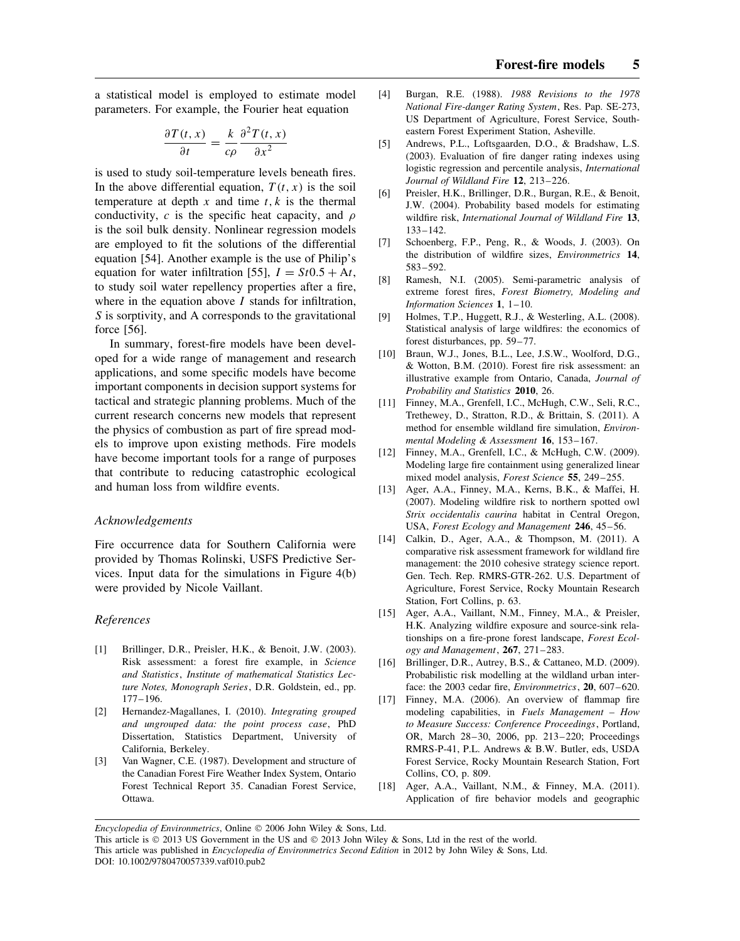a statistical model is employed to estimate model parameters. For example, the Fourier heat equation

$$
\frac{\partial T(t,x)}{\partial t} = \frac{k}{c\rho} \frac{\partial^2 T(t,x)}{\partial x^2}
$$

is used to study soil-temperature levels beneath fires. In the above differential equation,  $T(t, x)$  is the soil temperature at depth  $x$  and time  $t, k$  is the thermal conductivity, *c* is the specific heat capacity, and *ρ* is the soil bulk density. Nonlinear regression models are employed to fit the solutions of the differential equation [54]. Another example is the use of Philip's equation for water infiltration [55],  $I = St0.5 + At$ , to study soil water repellency properties after a fire, where in the equation above *I* stands for infiltration, *S* is sorptivity, and A corresponds to the gravitational force [56].

In summary, forest-fire models have been developed for a wide range of management and research applications, and some specific models have become important components in decision support systems for tactical and strategic planning problems. Much of the current research concerns new models that represent the physics of combustion as part of fire spread models to improve upon existing methods. Fire models have become important tools for a range of purposes that contribute to reducing catastrophic ecological and human loss from wildfire events.

#### *Acknowledgements*

Fire occurrence data for Southern California were provided by Thomas Rolinski, USFS Predictive Services. Input data for the simulations in Figure 4(b) were provided by Nicole Vaillant.

#### *References*

- [1] Brillinger, D.R., Preisler, H.K., & Benoit, J.W. (2003). Risk assessment: a forest fire example, in *Science and Statistics*, *Institute of mathematical Statistics Lecture Notes, Monograph Series*, D.R. Goldstein, ed., pp. 177–196.
- [2] Hernandez-Magallanes, I. (2010). *Integrating grouped and ungrouped data: the point process case*, PhD Dissertation, Statistics Department, University of California, Berkeley.
- [3] Van Wagner, C.E. (1987). Development and structure of the Canadian Forest Fire Weather Index System, Ontario Forest Technical Report 35. Canadian Forest Service, Ottawa.
- [4] Burgan, R.E. (1988). *1988 Revisions to the 1978 National Fire-danger Rating System*, Res. Pap. SE-273, US Department of Agriculture, Forest Service, Southeastern Forest Experiment Station, Asheville.
- [5] Andrews, P.L., Loftsgaarden, D.O., & Bradshaw, L.S. (2003). Evaluation of fire danger rating indexes using logistic regression and percentile analysis, *International Journal of Wildland Fire* **12**, 213–226.
- [6] Preisler, H.K., Brillinger, D.R., Burgan, R.E., & Benoit, J.W. (2004). Probability based models for estimating wildfire risk, *International Journal of Wildland Fire* **13**, 133–142.
- [7] Schoenberg, F.P., Peng, R., & Woods, J. (2003). On the distribution of wildfire sizes, *Environmetrics* **14**, 583–592.
- [8] Ramesh, N.I. (2005). Semi-parametric analysis of extreme forest fires, *Forest Biometry, Modeling and Information Sciences* **1**, 1–10.
- [9] Holmes, T.P., Huggett, R.J., & Westerling, A.L. (2008). Statistical analysis of large wildfires: the economics of forest disturbances, pp. 59–77.
- [10] Braun, W.J., Jones, B.L., Lee, J.S.W., Woolford, D.G., & Wotton, B.M. (2010). Forest fire risk assessment: an illustrative example from Ontario, Canada, *Journal of Probability and Statistics* **2010**, 26.
- [11] Finney, M.A., Grenfell, I.C., McHugh, C.W., Seli, R.C., Trethewey, D., Stratton, R.D., & Brittain, S. (2011). A method for ensemble wildland fire simulation, *Environmental Modeling & Assessment* **16**, 153–167.
- [12] Finney, M.A., Grenfell, I.C., & McHugh, C.W. (2009). Modeling large fire containment using generalized linear mixed model analysis, *Forest Science* **55**, 249–255.
- [13] Ager, A.A., Finney, M.A., Kerns, B.K., & Maffei, H. (2007). Modeling wildfire risk to northern spotted owl *Strix occidentalis caurina* habitat in Central Oregon, USA, *Forest Ecology and Management* **246**, 45–56.
- [14] Calkin, D., Ager, A.A., & Thompson, M. (2011). A comparative risk assessment framework for wildland fire management: the 2010 cohesive strategy science report. Gen. Tech. Rep. RMRS-GTR-262. U.S. Department of Agriculture, Forest Service, Rocky Mountain Research Station, Fort Collins, p. 63.
- [15] Ager, A.A., Vaillant, N.M., Finney, M.A., & Preisler, H.K. Analyzing wildfire exposure and source-sink relationships on a fire-prone forest landscape, *Forest Ecology and Management*, **267**, 271–283.
- [16] Brillinger, D.R., Autrey, B.S., & Cattaneo, M.D. (2009). Probabilistic risk modelling at the wildland urban interface: the 2003 cedar fire, *Environmetrics*, **20**, 607–620.
- [17] Finney, M.A. (2006). An overview of flammap fire modeling capabilities, in *Fuels Management – How to Measure Success: Conference Proceedings*, Portland, OR, March 28–30, 2006, pp. 213–220; Proceedings RMRS-P-41, P.L. Andrews & B.W. Butler, eds, USDA Forest Service, Rocky Mountain Research Station, Fort Collins, CO, p. 809.
- [18] Ager, A.A., Vaillant, N.M., & Finney, M.A. (2011). Application of fire behavior models and geographic

*Encyclopedia of Environmetrics*, Online © 2006 John Wiley & Sons, Ltd.

This article is  $\odot$  2013 US Government in the US and  $\odot$  2013 John Wiley & Sons, Ltd in the rest of the world. This article was published in *Encyclopedia of Environmetrics Second Edition* in 2012 by John Wiley & Sons, Ltd. DOI: 10.1002/9780470057339.vaf010.pub2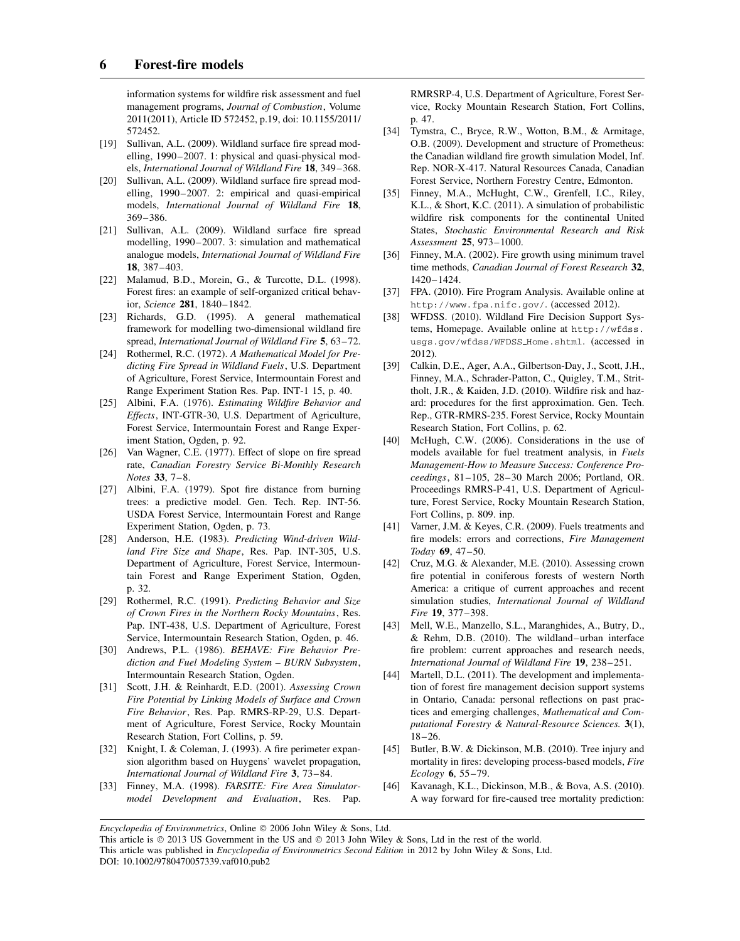information systems for wildfire risk assessment and fuel management programs, *Journal of Combustion*, Volume 2011(2011), Article ID 572452, p.19, doi: 10.1155/2011/ 572452.

- [19] Sullivan, A.L. (2009). Wildland surface fire spread modelling, 1990–2007. 1: physical and quasi-physical models, *International Journal of Wildland Fire* **18**, 349–368.
- [20] Sullivan, A.L. (2009). Wildland surface fire spread modelling, 1990–2007. 2: empirical and quasi-empirical models, *International Journal of Wildland Fire* **18**, 369–386.
- [21] Sullivan, A.L. (2009). Wildland surface fire spread modelling, 1990–2007. 3: simulation and mathematical analogue models, *International Journal of Wildland Fire* **18**, 387–403.
- [22] Malamud, B.D., Morein, G., & Turcotte, D.L. (1998). Forest fires: an example of self-organized critical behavior, *Science* **281**, 1840–1842.
- [23] Richards, G.D. (1995). A general mathematical framework for modelling two-dimensional wildland fire spread, *International Journal of Wildland Fire* **5**, 63–72.
- [24] Rothermel, R.C. (1972). *A Mathematical Model for Predicting Fire Spread in Wildland Fuels*, U.S. Department of Agriculture, Forest Service, Intermountain Forest and Range Experiment Station Res. Pap. INT-1 15, p. 40.
- [25] Albini, F.A. (1976). *Estimating Wildfire Behavior and Effects*, INT-GTR-30, U.S. Department of Agriculture, Forest Service, Intermountain Forest and Range Experiment Station, Ogden, p. 92.
- [26] Van Wagner, C.E. (1977). Effect of slope on fire spread rate, *Canadian Forestry Service Bi-Monthly Research Notes* **33**, 7–8.
- [27] Albini, F.A. (1979). Spot fire distance from burning trees: a predictive model. Gen. Tech. Rep. INT-56. USDA Forest Service, Intermountain Forest and Range Experiment Station, Ogden, p. 73.
- [28] Anderson, H.E. (1983). *Predicting Wind-driven Wildland Fire Size and Shape*, Res. Pap. INT-305, U.S. Department of Agriculture, Forest Service, Intermountain Forest and Range Experiment Station, Ogden, p. 32.
- [29] Rothermel, R.C. (1991). *Predicting Behavior and Size of Crown Fires in the Northern Rocky Mountains*, Res. Pap. INT-438, U.S. Department of Agriculture, Forest Service, Intermountain Research Station, Ogden, p. 46.
- [30] Andrews, P.L. (1986). *BEHAVE: Fire Behavior Prediction and Fuel Modeling System – BURN Subsystem*, Intermountain Research Station, Ogden.
- [31] Scott, J.H. & Reinhardt, E.D. (2001). *Assessing Crown Fire Potential by Linking Models of Surface and Crown Fire Behavior*, Res. Pap. RMRS-RP-29, U.S. Department of Agriculture, Forest Service, Rocky Mountain Research Station, Fort Collins, p. 59.
- [32] Knight, I. & Coleman, J. (1993). A fire perimeter expansion algorithm based on Huygens' wavelet propagation, *International Journal of Wildland Fire* **3**, 73–84.
- [33] Finney, M.A. (1998). *FARSITE: Fire Area Simulatormodel Development and Evaluation*, Res. Pap.

RMRSRP-4, U.S. Department of Agriculture, Forest Service, Rocky Mountain Research Station, Fort Collins, p. 47.

- [34] Tymstra, C., Bryce, R.W., Wotton, B.M., & Armitage, O.B. (2009). Development and structure of Prometheus: the Canadian wildland fire growth simulation Model, Inf. Rep. NOR-X-417. Natural Resources Canada, Canadian Forest Service, Northern Forestry Centre, Edmonton.
- [35] Finney, M.A., McHught, C.W., Grenfell, I.C., Riley, K.L., & Short, K.C. (2011). A simulation of probabilistic wildfire risk components for the continental United States, *Stochastic Environmental Research and Risk Assessment* **25**, 973–1000.
- [36] Finney, M.A. (2002). Fire growth using minimum travel time methods, *Canadian Journal of Forest Research* **32**, 1420–1424.
- [37] FPA. (2010). Fire Program Analysis. Available online at http://www.fpa.nifc.gov/. (accessed 2012).
- [38] WFDSS. (2010). Wildland Fire Decision Support Systems, Homepage. Available online at http://wfdss. usgs.gov/wfdss/WFDSS Home.shtml. (accessed in 2012).
- [39] Calkin, D.E., Ager, A.A., Gilbertson-Day, J., Scott, J.H., Finney, M.A., Schrader-Patton, C., Quigley, T.M., Strittholt, J.R., & Kaiden, J.D. (2010). Wildfire risk and hazard: procedures for the first approximation. Gen. Tech. Rep., GTR-RMRS-235. Forest Service, Rocky Mountain Research Station, Fort Collins, p. 62.
- [40] McHugh, C.W. (2006). Considerations in the use of models available for fuel treatment analysis, in *Fuels Management-How to Measure Success: Conference Proceedings*, 81–105, 28–30 March 2006; Portland, OR. Proceedings RMRS-P-41, U.S. Department of Agriculture, Forest Service, Rocky Mountain Research Station, Fort Collins, p. 809. inp.
- [41] Varner, J.M. & Keyes, C.R. (2009). Fuels treatments and fire models: errors and corrections, *Fire Management Today* **69**, 47–50.
- [42] Cruz, M.G. & Alexander, M.E. (2010). Assessing crown fire potential in coniferous forests of western North America: a critique of current approaches and recent simulation studies, *International Journal of Wildland Fire* **19**, 377–398.
- [43] Mell, W.E., Manzello, S.L., Maranghides, A., Butry, D., & Rehm, D.B. (2010). The wildland–urban interface fire problem: current approaches and research needs, *International Journal of Wildland Fire* **19**, 238–251.
- [44] Martell, D.L. (2011). The development and implementation of forest fire management decision support systems in Ontario, Canada: personal reflections on past practices and emerging challenges, *Mathematical and Computational Forestry & Natural-Resource Sciences.* **3**(1), 18–26.
- [45] Butler, B.W. & Dickinson, M.B. (2010). Tree injury and mortality in fires: developing process-based models, *Fire Ecology* **6**, 55–79.
- [46] Kavanagh, K.L., Dickinson, M.B., & Bova, A.S. (2010). A way forward for fire-caused tree mortality prediction:

*Encyclopedia of Environmetrics*, Online © 2006 John Wiley & Sons, Ltd.

This article is  $\odot$  2013 US Government in the US and  $\odot$  2013 John Wiley & Sons, Ltd in the rest of the world. This article was published in *Encyclopedia of Environmetrics Second Edition* in 2012 by John Wiley & Sons, Ltd. DOI: 10.1002/9780470057339.vaf010.pub2